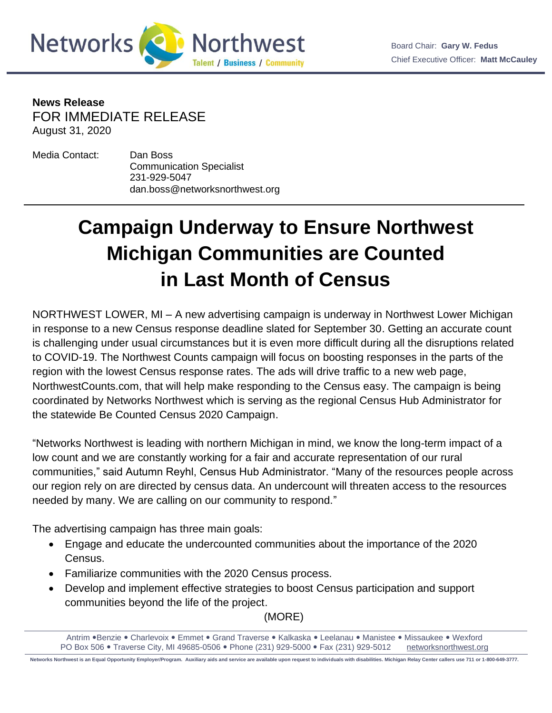



**News Release** FOR IMMEDIATE RELEASE August 31, 2020

Media Contact: Dan Boss Communication Specialist 231-929-5047 dan.boss@networksnorthwest.org

## **Campaign Underway to Ensure Northwest Michigan Communities are Counted in Last Month of Census**

NORTHWEST LOWER, MI – A new advertising campaign is underway in Northwest Lower Michigan in response to a new Census response deadline slated for September 30. Getting an accurate count is challenging under usual circumstances but it is even more difficult during all the disruptions related to COVID-19. The Northwest Counts campaign will focus on boosting responses in the parts of the region with the lowest Census response rates. The ads will drive traffic to a new web page, NorthwestCounts.com, that will help make responding to the Census easy. The campaign is being coordinated by Networks Northwest which is serving as the regional Census Hub Administrator for the statewide Be Counted Census 2020 Campaign.

"Networks Northwest is leading with northern Michigan in mind, we know the long-term impact of a low count and we are constantly working for a fair and accurate representation of our rural communities," said Autumn Reyhl, Census Hub Administrator. "Many of the resources people across our region rely on are directed by census data. An undercount will threaten access to the resources needed by many. We are calling on our community to respond."

The advertising campaign has three main goals:

- Engage and educate the undercounted communities about the importance of the 2020 Census.
- Familiarize communities with the 2020 Census process.
- Develop and implement effective strategies to boost Census participation and support communities beyond the life of the project.

(MORE)

Antrim .Benzie . Charlevoix . Emmet . Grand Traverse . Kalkaska . Leelanau . Manistee . Missaukee . Wexford PO Box 506 . Traverse City, MI 49685-0506 . Phone (231) 929-5000 . Fax (231) 929-5012 [networksnorthwest.org](http://www.nwm.org/)

**Networks Northwest is an Equal Opportunity Employer/Program. Auxiliary aids and service are available upon request to individuals with disabilities. Michigan Relay Center callers use 711 or 1-800-649-3777.**